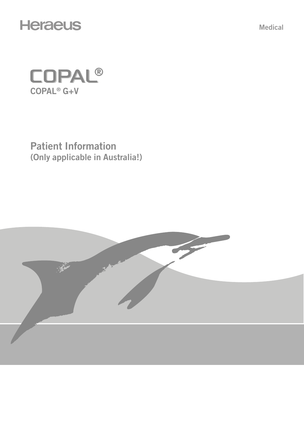

Medical



Patient Information (Only applicable in Australia!)

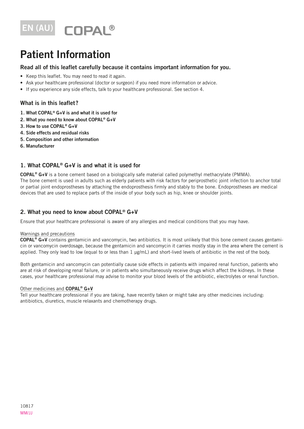

# Patient Information

## Read all of this leaflet carefully because it contains important information for you.

- Keep this leaflet. You may need to read it again.
- Ask your healthcare professional (doctor or surgeon) if you need more information or advice.
- If you experience any side effects, talk to your healthcare professional. See section 4.

## What is in this leaflet?

- 1. What COPAL® G+V is and what it is used for
- 2. What you need to know about COPAL® G+V
- 3. How to use COPAL® G+V
- 4. Side effects and residual risks
- 5. Composition and other information
- 6. Manufacturer

# 1. What COPAL® G+V is and what it is used for

COPAL® G+V is a bone cement based on a biologically safe material called polymethyl methacrylate (PMMA). The bone cement is used in adults such as elderly patients with risk factors for periprosthetic joint infection to anchor total or partial joint endoprostheses by attaching the endoprosthesis firmly and stably to the bone. Endoprostheses are medical devices that are used to replace parts of the inside of your body such as hip, knee or shoulder joints.

## 2. What you need to know about COPAL® G+V

Ensure that your healthcare professional is aware of any allergies and medical conditions that you may have.

#### Warnings and precautions

COPAL® G+V contains gentamicin and vancomycin, two antibiotics. It is most unlikely that this bone cement causes gentamicin or vancomycin overdosage, because the gentamicin and vancomycin it carries mostly stay in the area where the cement is applied. They only lead to low (equal to or less than 1 μg/mL) and short-lived levels of antibiotic in the rest of the body.

Both gentamicin and vancomycin can potentially cause side effects in patients with impaired renal function, patients who are at risk of developing renal failure, or in patients who simultaneously receive drugs which affect the kidneys. In these cases, your healthcare professional may advise to monitor your blood levels of the antibiotic, electrolytes or renal function.

#### Other medicines and COPAL<sup>®</sup> G+V

Tell your healthcare professional if you are taking, have recently taken or might take any other medicines including: antibiotics, diuretics, muscle relaxants and chemotherapy drugs.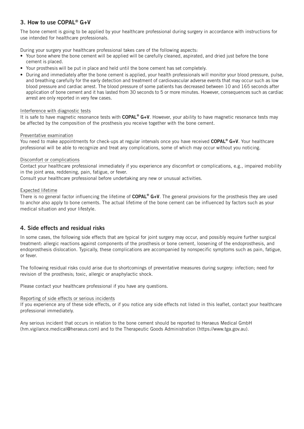# 3. How to use COPAL® G+V

The bone cement is going to be applied by your healthcare professional during surgery in accordance with instructions for use intended for healthcare professionals.

During your surgery your healthcare professional takes care of the following aspects:

- Your bone where the bone cement will be applied will be carefully cleaned, aspirated, and dried just before the bone cement is placed.
- Your prosthesis will be put in place and held until the bone cement has set completely.
- During and immediately after the bone cement is applied, your health professionals will monitor your blood pressure, pulse, and breathing carefully for the early detection and treatment of cardiovascular adverse events that may occur such as low blood pressure and cardiac arrest. The blood pressure of some patients has decreased between 10 and 165 seconds after application of bone cement and it has lasted from 30 seconds to 5 or more minutes. However, consequences such as cardiac arrest are only reported in very few cases.

#### Interference with diagnostic tests

It is safe to have magnetic resonance tests with COPAL® G+V. However, your ability to have magnetic resonance tests may be affected by the composition of the prosthesis you receive together with the bone cement.

#### Preventative examination

You need to make appointments for check-ups at regular intervals once you have received COPAL<sup>®</sup> G+V. Your healthcare professional will be able to recognize and treat any complications, some of which may occur without you noticing.

#### Discomfort or complications

Contact your healthcare professional immediately if you experience any discomfort or complications, e.g., impaired mobility in the joint area, reddening, pain, fatigue, or fever.

Consult your healthcare professional before undertaking any new or unusual activities.

#### Expected lifetime

There is no general factor influencing the lifetime of  $\mathsf{CDPAL}^{\otimes} G+V$ . The general provisions for the prosthesis they are used to anchor also apply to bone cements. The actual lifetime of the bone cement can be influenced by factors such as your medical situation and your lifestyle.

## 4. Side effects and residual risks

In some cases, the following side effects that are typical for joint surgery may occur, and possibly require further surgical treatment: allergic reactions against components of the prosthesis or bone cement, loosening of the endoprosthesis, and endoprosthesis dislocation. Typically, these complications are accompanied by nonspecific symptoms such as pain, fatigue, or fever.

The following residual risks could arise due to shortcomings of preventative measures during surgery: infection; need for revision of the prosthesis; toxic, allergic or anaphylactic shock.

Please contact your healthcare professional if you have any questions.

#### Reporting of side effects or serious incidents

If you experience any of these side effects, or if you notice any side effects not listed in this leaflet, contact your healthcare professional immediately.

Any serious incident that occurs in relation to the bone cement should be reported to Heraeus Medical GmbH (hm.vigilance.medical@heraeus.com) and to the Therapeutic Goods Administration (https://www.tga.gov.au).